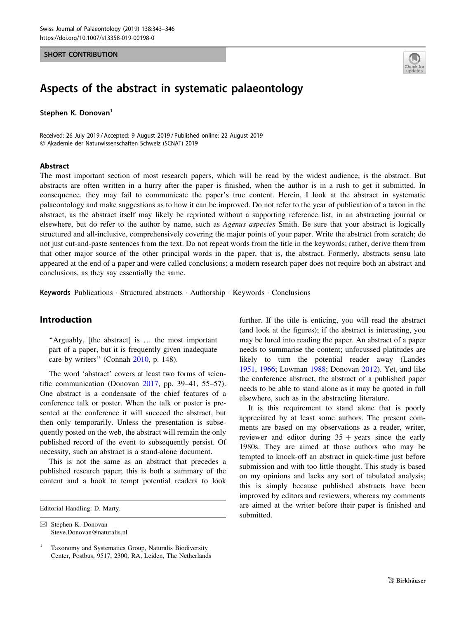#### SHORT CONTRIBUTION

# Aspects of the abstract in systematic palaeontology

Stephen K. Donovan<sup>1</sup>

Received: 26 July 2019 / Accepted: 9 August 2019 / Published online: 22 August 2019 - Akademie der Naturwissenschaften Schweiz (SCNAT) 2019

#### Abstract



The most important section of most research papers, which will be read by the widest audience, is the abstract. But abstracts are often written in a hurry after the paper is finished, when the author is in a rush to get it submitted. In consequence, they may fail to communicate the paper's true content. Herein, I look at the abstract in systematic palaeontology and make suggestions as to how it can be improved. Do not refer to the year of publication of a taxon in the abstract, as the abstract itself may likely be reprinted without a supporting reference list, in an abstracting journal or elsewhere, but do refer to the author by name, such as Agenus aspecies Smith. Be sure that your abstract is logically structured and all-inclusive, comprehensively covering the major points of your paper. Write the abstract from scratch; do not just cut-and-paste sentences from the text. Do not repeat words from the title in the keywords; rather, derive them from that other major source of the other principal words in the paper, that is, the abstract. Formerly, abstracts sensu lato appeared at the end of a paper and were called conclusions; a modern research paper does not require both an abstract and conclusions, as they say essentially the same.

Keywords Publications · Structured abstracts · Authorship · Keywords · Conclusions

# Introduction

''Arguably, [the abstract] is … the most important part of a paper, but it is frequently given inadequate care by writers'' (Connah [2010](#page-3-0), p. 148).

The word 'abstract' covers at least two forms of scientific communication (Donovan [2017](#page-3-0), pp. 39–41, 55–57). One abstract is a condensate of the chief features of a conference talk or poster. When the talk or poster is presented at the conference it will succeed the abstract, but then only temporarily. Unless the presentation is subsequently posted on the web, the abstract will remain the only published record of the event to subsequently persist. Of necessity, such an abstract is a stand-alone document.

This is not the same as an abstract that precedes a published research paper; this is both a summary of the content and a hook to tempt potential readers to look

Editorial Handling: D. Marty.

 $\boxtimes$  Stephen K. Donovan Steve.Donovan@naturalis.nl further. If the title is enticing, you will read the abstract (and look at the figures); if the abstract is interesting, you may be lured into reading the paper. An abstract of a paper needs to summarise the content; unfocussed platitudes are likely to turn the potential reader away (Landes [1951](#page-3-0), [1966;](#page-3-0) Lowman [1988;](#page-3-0) Donovan [2012](#page-3-0)). Yet, and like the conference abstract, the abstract of a published paper needs to be able to stand alone as it may be quoted in full elsewhere, such as in the abstracting literature.

It is this requirement to stand alone that is poorly appreciated by at least some authors. The present comments are based on my observations as a reader, writer, reviewer and editor during  $35 + \text{years}$  since the early 1980s. They are aimed at those authors who may be tempted to knock-off an abstract in quick-time just before submission and with too little thought. This study is based on my opinions and lacks any sort of tabulated analysis; this is simply because published abstracts have been improved by editors and reviewers, whereas my comments are aimed at the writer before their paper is finished and submitted.

<sup>1</sup> Taxonomy and Systematics Group, Naturalis Biodiversity Center, Postbus, 9517, 2300, RA, Leiden, The Netherlands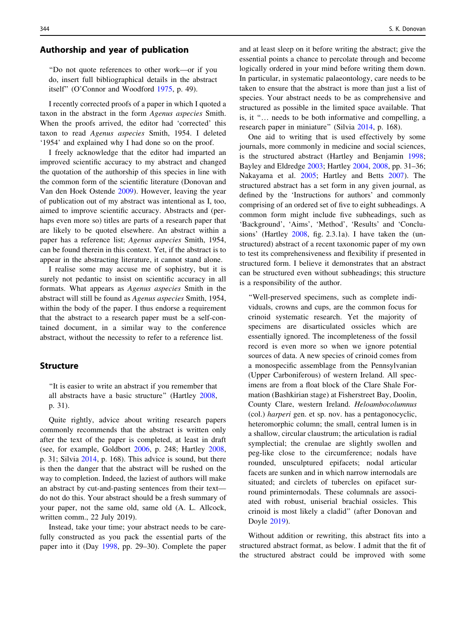#### Authorship and year of publication

''Do not quote references to other work—or if you do, insert full bibliographical details in the abstract itself'' (O'Connor and Woodford [1975](#page-3-0), p. 49).

I recently corrected proofs of a paper in which I quoted a taxon in the abstract in the form Agenus aspecies Smith. When the proofs arrived, the editor had 'corrected' this taxon to read Agenus aspecies Smith, 1954. I deleted '1954' and explained why I had done so on the proof.

I freely acknowledge that the editor had imparted an improved scientific accuracy to my abstract and changed the quotation of the authorship of this species in line with the common form of the scientific literature (Donovan and Van den Hoek Ostende [2009\)](#page-3-0). However, leaving the year of publication out of my abstract was intentional as I, too, aimed to improve scientific accuracy. Abstracts and (perhaps even more so) titles are parts of a research paper that are likely to be quoted elsewhere. An abstract within a paper has a reference list; Agenus aspecies Smith, 1954, can be found therein in this context. Yet, if the abstract is to appear in the abstracting literature, it cannot stand alone.

I realise some may accuse me of sophistry, but it is surely not pedantic to insist on scientific accuracy in all formats. What appears as Agenus aspecies Smith in the abstract will still be found as Agenus aspecies Smith, 1954, within the body of the paper. I thus endorse a requirement that the abstract to a research paper must be a self-contained document, in a similar way to the conference abstract, without the necessity to refer to a reference list.

### Structure

''It is easier to write an abstract if you remember that all abstracts have a basic structure'' (Hartley [2008](#page-3-0), p. 31).

Quite rightly, advice about writing research papers commonly recommends that the abstract is written only after the text of the paper is completed, at least in draft (see, for example, Goldbort [2006](#page-3-0), p. 248; Hartley [2008,](#page-3-0) p. 31; Silvia [2014,](#page-3-0) p. 168). This advice is sound, but there is then the danger that the abstract will be rushed on the way to completion. Indeed, the laziest of authors will make an abstract by cut-and-pasting sentences from their text do not do this. Your abstract should be a fresh summary of your paper, not the same old, same old (A. L. Allcock, written comm., 22 July 2019).

Instead, take your time; your abstract needs to be carefully constructed as you pack the essential parts of the paper into it (Day [1998](#page-3-0), pp. 29–30). Complete the paper and at least sleep on it before writing the abstract; give the essential points a chance to percolate through and become logically ordered in your mind before writing them down. In particular, in systematic palaeontology, care needs to be taken to ensure that the abstract is more than just a list of species. Your abstract needs to be as comprehensive and structured as possible in the limited space available. That is, it ''… needs to be both informative and compelling, a research paper in miniature'' (Silvia [2014,](#page-3-0) p. 168).

One aid to writing that is used effectively by some journals, more commonly in medicine and social sciences, is the structured abstract (Hartley and Benjamin [1998](#page-3-0); Bayley and Eldredge [2003](#page-3-0); Hartley [2004](#page-3-0), [2008](#page-3-0), pp. 31–36; Nakayama et al. [2005](#page-3-0); Hartley and Betts [2007\)](#page-3-0). The structured abstract has a set form in any given journal, as defined by the 'Instructions for authors' and commonly comprising of an ordered set of five to eight subheadings. A common form might include five subheadings, such as 'Background', 'Aims', 'Method', 'Results' and 'Conclusions' (Hartley [2008](#page-3-0), fig. 2.3.1a). I have taken the (unstructured) abstract of a recent taxonomic paper of my own to test its comprehensiveness and flexibility if presented in structured form. I believe it demonstrates that an abstract can be structured even without subheadings; this structure is a responsibility of the author.

''Well-preserved specimens, such as complete individuals, crowns and cups, are the common focus for crinoid systematic research. Yet the majority of specimens are disarticulated ossicles which are essentially ignored. The incompleteness of the fossil record is even more so when we ignore potential sources of data. A new species of crinoid comes from a monospecific assemblage from the Pennsylvanian (Upper Carboniferous) of western Ireland. All specimens are from a float block of the Clare Shale Formation (Bashkirian stage) at Fisherstreet Bay, Doolin, County Clare, western Ireland. Heloambocolumnus (col.) harperi gen. et sp. nov. has a pentagonocyclic, heteromorphic column; the small, central lumen is in a shallow, circular claustrum; the articulation is radial symplectial; the crenulae are slightly swollen and peg-like close to the circumference; nodals have rounded, unsculptured epifacets; nodal articular facets are sunken and in which narrow internodals are situated; and circlets of tubercles on epifacet surround priminternodals. These columnals are associated with robust, uniserial brachial ossicles. This crinoid is most likely a cladid'' (after Donovan and Doyle [2019](#page-3-0)).

Without addition or rewriting, this abstract fits into a structured abstract format, as below. I admit that the fit of the structured abstract could be improved with some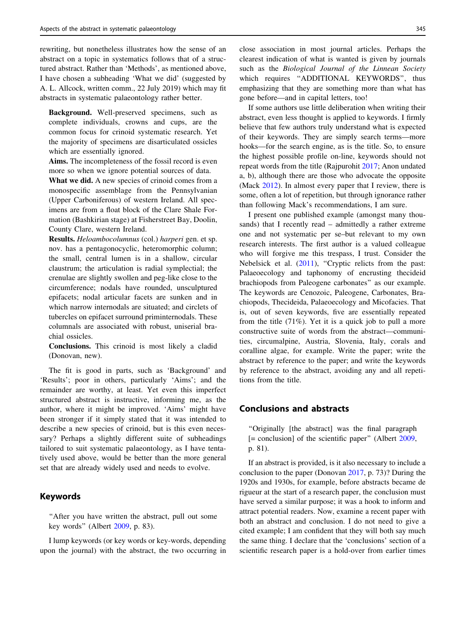rewriting, but nonetheless illustrates how the sense of an abstract on a topic in systematics follows that of a structured abstract. Rather than 'Methods', as mentioned above, I have chosen a subheading 'What we did' (suggested by A. L. Allcock, written comm., 22 July 2019) which may fit abstracts in systematic palaeontology rather better.

Background. Well-preserved specimens, such as complete individuals, crowns and cups, are the common focus for crinoid systematic research. Yet the majority of specimens are disarticulated ossicles which are essentially ignored.

Aims. The incompleteness of the fossil record is even more so when we ignore potential sources of data.

What we did. A new species of crinoid comes from a monospecific assemblage from the Pennsylvanian (Upper Carboniferous) of western Ireland. All specimens are from a float block of the Clare Shale Formation (Bashkirian stage) at Fisherstreet Bay, Doolin, County Clare, western Ireland.

Results. Heloambocolumnus (col.) harperi gen. et sp. nov. has a pentagonocyclic, heteromorphic column; the small, central lumen is in a shallow, circular claustrum; the articulation is radial symplectial; the crenulae are slightly swollen and peg-like close to the circumference; nodals have rounded, unsculptured epifacets; nodal articular facets are sunken and in which narrow internodals are situated; and circlets of tubercles on epifacet surround priminternodals. These columnals are associated with robust, uniserial brachial ossicles.

Conclusions. This crinoid is most likely a cladid (Donovan, new).

The fit is good in parts, such as 'Background' and 'Results'; poor in others, particularly 'Aims'; and the remainder are worthy, at least. Yet even this imperfect structured abstract is instructive, informing me, as the author, where it might be improved. 'Aims' might have been stronger if it simply stated that it was intended to describe a new species of crinoid, but is this even necessary? Perhaps a slightly different suite of subheadings tailored to suit systematic palaeontology, as I have tentatively used above, would be better than the more general set that are already widely used and needs to evolve.

## Keywords

''After you have written the abstract, pull out some key words'' (Albert [2009](#page-3-0), p. 83).

I lump keywords (or key words or key-words, depending upon the journal) with the abstract, the two occurring in close association in most journal articles. Perhaps the clearest indication of what is wanted is given by journals such as the Biological Journal of the Linnean Society which requires ''ADDITIONAL KEYWORDS'', thus emphasizing that they are something more than what has gone before—and in capital letters, too!

If some authors use little deliberation when writing their abstract, even less thought is applied to keywords. I firmly believe that few authors truly understand what is expected of their keywords. They are simply search terms—more hooks—for the search engine, as is the title. So, to ensure the highest possible profile on-line, keywords should not repeat words from the title (Rajpurohit [2017;](#page-3-0) Anon undated a, b), although there are those who advocate the opposite (Mack [2012](#page-3-0)). In almost every paper that I review, there is some, often a lot of repetition, but through ignorance rather than following Mack's recommendations, I am sure.

I present one published example (amongst many thousands) that I recently read – admittedly a rather extreme one and not systematic per se–but relevant to my own research interests. The first author is a valued colleague who will forgive me this trespass, I trust. Consider the Nebelsick et al. ([2011\)](#page-3-0), "Cryptic relicts from the past: Palaeoecology and taphonomy of encrusting thecideid brachiopods from Paleogene carbonates'' as our example. The keywords are Cenozoic, Paleogene, Carbonates, Brachiopods, Thecideida, Palaeoecology and Micofacies. That is, out of seven keywords, five are essentially repeated from the title (71%). Yet it is a quick job to pull a more constructive suite of words from the abstract—communities, circumalpine, Austria, Slovenia, Italy, corals and coralline algae, for example. Write the paper; write the abstract by reference to the paper; and write the keywords by reference to the abstract, avoiding any and all repetitions from the title.

# Conclusions and abstracts

''Originally [the abstract] was the final paragraph [= conclusion] of the scientific paper'' (Albert [2009](#page-3-0), p. 81).

If an abstract is provided, is it also necessary to include a conclusion to the paper (Donovan [2017](#page-3-0), p. 73)? During the 1920s and 1930s, for example, before abstracts became de rigueur at the start of a research paper, the conclusion must have served a similar purpose; it was a hook to inform and attract potential readers. Now, examine a recent paper with both an abstract and conclusion. I do not need to give a cited example; I am confident that they will both say much the same thing. I declare that the 'conclusions' section of a scientific research paper is a hold-over from earlier times